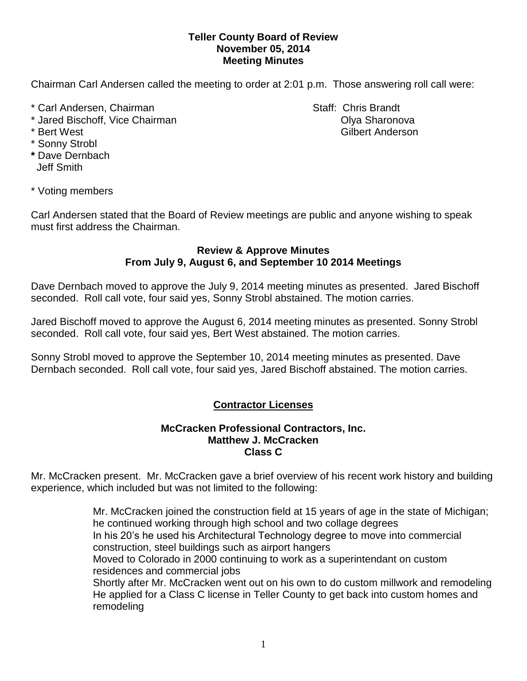## **Teller County Board of Review November 05, 2014 Meeting Minutes**

Chairman Carl Andersen called the meeting to order at 2:01 p.m. Those answering roll call were:

- \* Carl Andersen, Chairman Staff: Chris Brandt
- \* Jared Bischoff, Vice Chairman **Olya Sharonova** Olya Sharonova
- 
- \* Sonny Strobl
- **\*** Dave Dernbach Jeff Smith

\* Bert West Gilbert Anderson

\* Voting members

Carl Andersen stated that the Board of Review meetings are public and anyone wishing to speak must first address the Chairman.

## **Review & Approve Minutes From July 9, August 6, and September 10 2014 Meetings**

Dave Dernbach moved to approve the July 9, 2014 meeting minutes as presented. Jared Bischoff seconded.Roll call vote, four said yes, Sonny Strobl abstained. The motion carries.

Jared Bischoff moved to approve the August 6, 2014 meeting minutes as presented. Sonny Strobl seconded.Roll call vote, four said yes, Bert West abstained. The motion carries.

Sonny Strobl moved to approve the September 10, 2014 meeting minutes as presented. Dave Dernbach seconded.Roll call vote, four said yes, Jared Bischoff abstained. The motion carries.

## **Contractor Licenses**

## **McCracken Professional Contractors, Inc. Matthew J. McCracken Class C**

Mr. McCracken present. Mr. McCracken gave a brief overview of his recent work history and building experience, which included but was not limited to the following:

> Mr. McCracken joined the construction field at 15 years of age in the state of Michigan; he continued working through high school and two collage degrees In his 20's he used his Architectural Technology degree to move into commercial construction, steel buildings such as airport hangers Moved to Colorado in 2000 continuing to work as a superintendant on custom residences and commercial jobs Shortly after Mr. McCracken went out on his own to do custom millwork and remodeling He applied for a Class C license in Teller County to get back into custom homes and remodeling